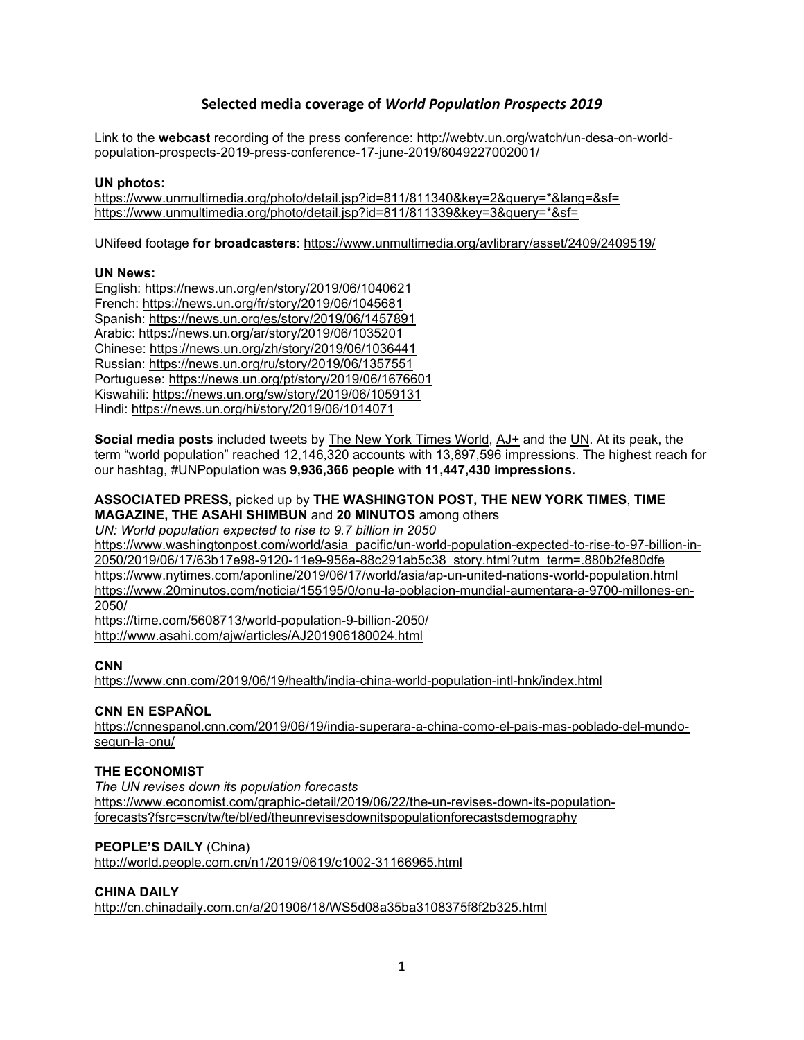# **Selected media coverage of** *World Population Prospects 2019*

Link to the **webcast** recording of the press conference: [http://webtv.un.org/watch/un-desa-on-world](http://webtv.un.org/watch/un-desa-on-world-population-prospects-2019-press-conference-17-june-2019/6049227002001/)[population-prospects-2019-press-conference-17-june-2019/6049227002001/](http://webtv.un.org/watch/un-desa-on-world-population-prospects-2019-press-conference-17-june-2019/6049227002001/)

### **UN photos:**

[https://www.unmultimedia.org/photo/detail.jsp?id=811/811340&key=2&query=\\*&lang=&sf=](https://www.unmultimedia.org/photo/detail.jsp?id=811/811340&key=2&query=*&lang=&sf=) [https://www.unmultimedia.org/photo/detail.jsp?id=811/811339&key=3&query=\\*&sf=](https://www.unmultimedia.org/photo/detail.jsp?id=811/811339&key=3&query=*&sf=)

UNifeed footage **for broadcasters**:<https://www.unmultimedia.org/avlibrary/asset/2409/2409519/>

## **UN News:**

English:<https://news.un.org/en/story/2019/06/1040621> French:<https://news.un.org/fr/story/2019/06/1045681> Spanish:<https://news.un.org/es/story/2019/06/1457891> Arabic:<https://news.un.org/ar/story/2019/06/1035201> Chinese:<https://news.un.org/zh/story/2019/06/1036441> Russian:<https://news.un.org/ru/story/2019/06/1357551> Portuguese:<https://news.un.org/pt/story/2019/06/1676601> Kiswahili:<https://news.un.org/sw/story/2019/06/1059131> Hindi:<https://news.un.org/hi/story/2019/06/1014071>

**Social media posts** included tweets by [The New York Times World,](https://twitter.com/i/web/status/1140692344334888961) [AJ+](https://twitter.com/i/web/status/1140658837835407360) and the [UN.](https://twitter.com/UN/status/1140692082836660229) At its peak, the term "world population" reached 12,146,320 accounts with 13,897,596 impressions. The highest reach for our hashtag, #UNPopulation was **9,936,366 people** with **11,447,430 impressions.**

## **ASSOCIATED PRESS,** picked up by **THE WASHINGTON POST, THE NEW YORK TIMES**, **TIME MAGAZINE, THE ASAHI SHIMBUN** and **20 MINUTOS** among others

*UN: World population expected to rise to 9.7 billion in 2050*

[https://www.washingtonpost.com/world/asia\\_pacific/un-world-population-expected-to-rise-to-97-billion-in-](https://www.washingtonpost.com/world/asia_pacific/un-world-population-expected-to-rise-to-97-billion-in-2050/2019/06/17/63b17e98-9120-11e9-956a-88c291ab5c38_story.html?utm_term=.880b2fe80dfe)[2050/2019/06/17/63b17e98-9120-11e9-956a-88c291ab5c38\\_story.html?utm\\_term=.880b2fe80dfe](https://www.washingtonpost.com/world/asia_pacific/un-world-population-expected-to-rise-to-97-billion-in-2050/2019/06/17/63b17e98-9120-11e9-956a-88c291ab5c38_story.html?utm_term=.880b2fe80dfe) <https://www.nytimes.com/aponline/2019/06/17/world/asia/ap-un-united-nations-world-population.html> [https://www.20minutos.com/noticia/155195/0/onu-la-poblacion-mundial-aumentara-a-9700-millones-en-](https://www.20minutos.com/noticia/155195/0/onu-la-poblacion-mundial-aumentara-a-9700-millones-en-2050/)[2050/](https://www.20minutos.com/noticia/155195/0/onu-la-poblacion-mundial-aumentara-a-9700-millones-en-2050/)

<https://time.com/5608713/world-population-9-billion-2050/> <http://www.asahi.com/ajw/articles/AJ201906180024.html>

# **CNN**

<https://www.cnn.com/2019/06/19/health/india-china-world-population-intl-hnk/index.html>

# **CNN EN ESPAÑOL**

[https://cnnespanol.cnn.com/2019/06/19/india-superara-a-china-como-el-pais-mas-poblado-del-mundo](https://cnnespanol.cnn.com/2019/06/19/india-superara-a-china-como-el-pais-mas-poblado-del-mundo-segun-la-onu/)[segun-la-onu/](https://cnnespanol.cnn.com/2019/06/19/india-superara-a-china-como-el-pais-mas-poblado-del-mundo-segun-la-onu/)

# **THE ECONOMIST**

*The UN revises down its population forecasts* [https://www.economist.com/graphic-detail/2019/06/22/the-un-revises-down-its-population](https://www.economist.com/graphic-detail/2019/06/22/the-un-revises-down-its-population-forecasts?fsrc=scn/tw/te/bl/ed/theunrevisesdownitspopulationforecastsdemography)[forecasts?fsrc=scn/tw/te/bl/ed/theunrevisesdownitspopulationforecastsdemography](https://www.economist.com/graphic-detail/2019/06/22/the-un-revises-down-its-population-forecasts?fsrc=scn/tw/te/bl/ed/theunrevisesdownitspopulationforecastsdemography)

# **PEOPLE'S DAILY** (China)

<http://world.people.com.cn/n1/2019/0619/c1002-31166965.html>

# **CHINA DAILY**

<http://cn.chinadaily.com.cn/a/201906/18/WS5d08a35ba3108375f8f2b325.html>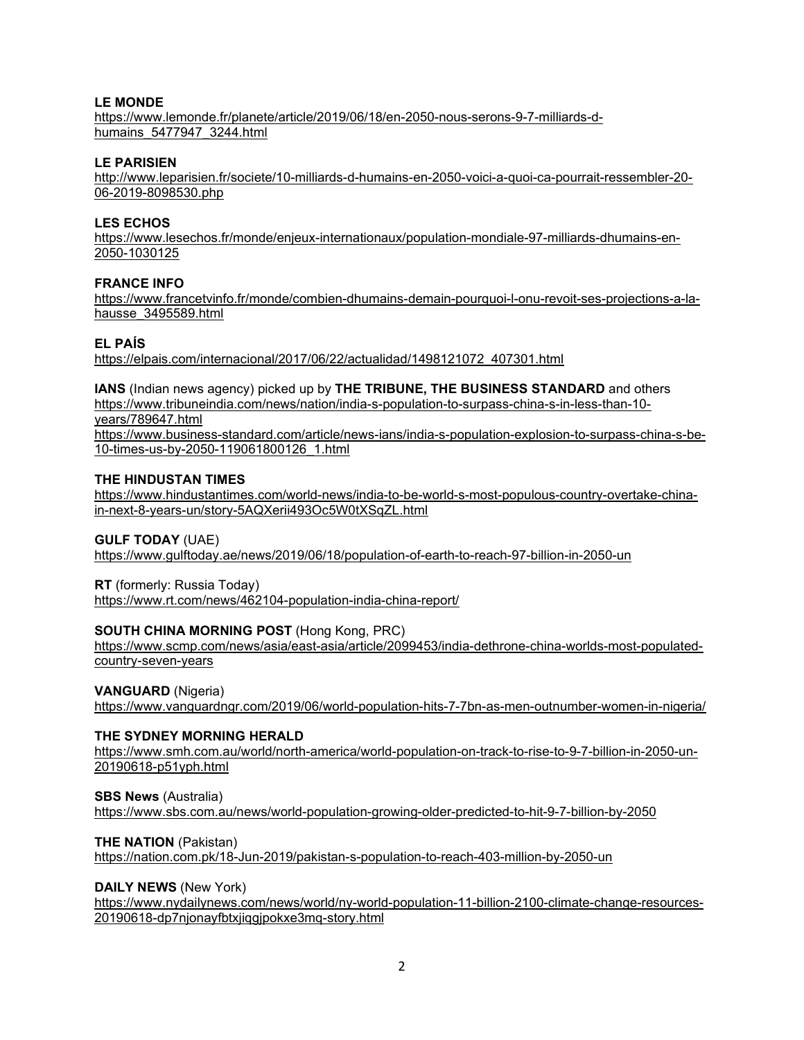# **LE MONDE**

[https://www.lemonde.fr/planete/article/2019/06/18/en-2050-nous-serons-9-7-milliards-d](https://www.lemonde.fr/planete/article/2019/06/18/en-2050-nous-serons-9-7-milliards-d-humains_5477947_3244.html)[humains\\_5477947\\_3244.html](https://www.lemonde.fr/planete/article/2019/06/18/en-2050-nous-serons-9-7-milliards-d-humains_5477947_3244.html)

### **LE PARISIEN**

[http://www.leparisien.fr/societe/10-milliards-d-humains-en-2050-voici-a-quoi-ca-pourrait-ressembler-20-](http://www.leparisien.fr/societe/10-milliards-d-humains-en-2050-voici-a-quoi-ca-pourrait-ressembler-20-06-2019-8098530.php) [06-2019-8098530.php](http://www.leparisien.fr/societe/10-milliards-d-humains-en-2050-voici-a-quoi-ca-pourrait-ressembler-20-06-2019-8098530.php)

## **LES ECHOS**

[https://www.lesechos.fr/monde/enjeux-internationaux/population-mondiale-97-milliards-dhumains-en-](https://www.lesechos.fr/monde/enjeux-internationaux/population-mondiale-97-milliards-dhumains-en-2050-1030125)[2050-1030125](https://www.lesechos.fr/monde/enjeux-internationaux/population-mondiale-97-milliards-dhumains-en-2050-1030125)

## **FRANCE INFO**

[https://www.francetvinfo.fr/monde/combien-dhumains-demain-pourquoi-l-onu-revoit-ses-projections-a-la](https://www.francetvinfo.fr/monde/combien-dhumains-demain-pourquoi-l-onu-revoit-ses-projections-a-la-hausse_3495589.html)[hausse\\_3495589.html](https://www.francetvinfo.fr/monde/combien-dhumains-demain-pourquoi-l-onu-revoit-ses-projections-a-la-hausse_3495589.html)

## **EL PAÍS**

[https://elpais.com/internacional/2017/06/22/actualidad/1498121072\\_407301.html](https://elpais.com/internacional/2017/06/22/actualidad/1498121072_407301.html)

**IANS** (Indian news agency) picked up by **THE TRIBUNE, THE BUSINESS STANDARD** and others [https://www.tribuneindia.com/news/nation/india-s-population-to-surpass-china-s-in-less-than-10](https://www.tribuneindia.com/news/nation/india-s-population-to-surpass-china-s-in-less-than-10-years/789647.html) [years/789647.html](https://www.tribuneindia.com/news/nation/india-s-population-to-surpass-china-s-in-less-than-10-years/789647.html)

[https://www.business-standard.com/article/news-ians/india-s-population-explosion-to-surpass-china-s-be-](https://www.business-standard.com/article/news-ians/india-s-population-explosion-to-surpass-china-s-be-10-times-us-by-2050-119061800126_1.html)[10-times-us-by-2050-119061800126\\_1.html](https://www.business-standard.com/article/news-ians/india-s-population-explosion-to-surpass-china-s-be-10-times-us-by-2050-119061800126_1.html)

## **THE HINDUSTAN TIMES**

[https://www.hindustantimes.com/world-news/india-to-be-world-s-most-populous-country-overtake-china](https://www.hindustantimes.com/world-news/india-to-be-world-s-most-populous-country-overtake-china-in-next-8-years-un/story-5AQXerii493Oc5W0tXSqZL.html)[in-next-8-years-un/story-5AQXerii493Oc5W0tXSqZL.html](https://www.hindustantimes.com/world-news/india-to-be-world-s-most-populous-country-overtake-china-in-next-8-years-un/story-5AQXerii493Oc5W0tXSqZL.html)

## **GULF TODAY** (UAE)

<https://www.gulftoday.ae/news/2019/06/18/population-of-earth-to-reach-97-billion-in-2050-un>

### **RT** (formerly: Russia Today)

<https://www.rt.com/news/462104-population-india-china-report/>

### **SOUTH CHINA MORNING POST** (Hong Kong, PRC)

[https://www.scmp.com/news/asia/east-asia/article/2099453/india-dethrone-china-worlds-most-populated](https://www.scmp.com/news/asia/east-asia/article/2099453/india-dethrone-china-worlds-most-populated-country-seven-years)[country-seven-years](https://www.scmp.com/news/asia/east-asia/article/2099453/india-dethrone-china-worlds-most-populated-country-seven-years)

**VANGUARD** (Nigeria)

<https://www.vanguardngr.com/2019/06/world-population-hits-7-7bn-as-men-outnumber-women-in-nigeria/>

### **THE SYDNEY MORNING HERALD**

[https://www.smh.com.au/world/north-america/world-population-on-track-to-rise-to-9-7-billion-in-2050-un-](https://www.smh.com.au/world/north-america/world-population-on-track-to-rise-to-9-7-billion-in-2050-un-20190618-p51yph.html)[20190618-p51yph.html](https://www.smh.com.au/world/north-america/world-population-on-track-to-rise-to-9-7-billion-in-2050-un-20190618-p51yph.html)

### **SBS News** (Australia)

<https://www.sbs.com.au/news/world-population-growing-older-predicted-to-hit-9-7-billion-by-2050>

### **THE NATION** (Pakistan)

<https://nation.com.pk/18-Jun-2019/pakistan-s-population-to-reach-403-million-by-2050-un>

### **DAILY NEWS** (New York)

[https://www.nydailynews.com/news/world/ny-world-population-11-billion-2100-climate-change-resources-](https://www.nydailynews.com/news/world/ny-world-population-11-billion-2100-climate-change-resources-20190618-dp7njonayfbtxjiqgjpokxe3mq-story.html)[20190618-dp7njonayfbtxjiqgjpokxe3mq-story.html](https://www.nydailynews.com/news/world/ny-world-population-11-billion-2100-climate-change-resources-20190618-dp7njonayfbtxjiqgjpokxe3mq-story.html)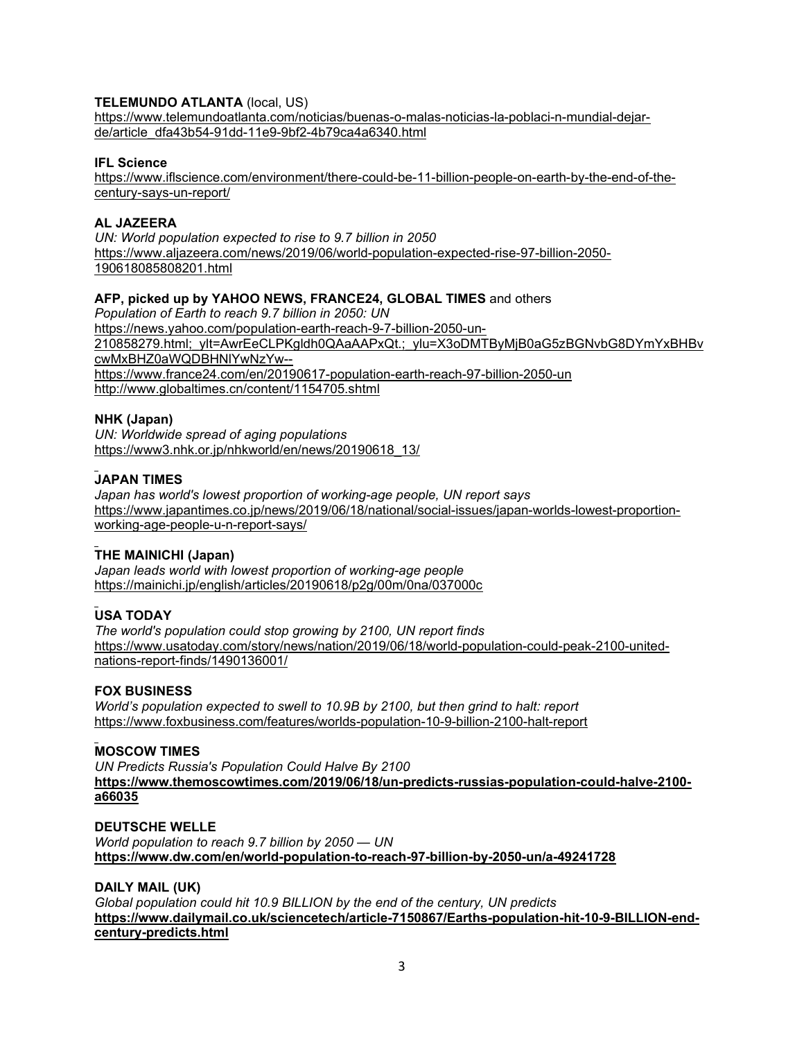## **TELEMUNDO ATLANTA** (local, US)

[https://www.telemundoatlanta.com/noticias/buenas-o-malas-noticias-la-poblaci-n-mundial-dejar](https://www.telemundoatlanta.com/noticias/buenas-o-malas-noticias-la-poblaci-n-mundial-dejar-de/article_dfa43b54-91dd-11e9-9bf2-4b79ca4a6340.html)[de/article\\_dfa43b54-91dd-11e9-9bf2-4b79ca4a6340.html](https://www.telemundoatlanta.com/noticias/buenas-o-malas-noticias-la-poblaci-n-mundial-dejar-de/article_dfa43b54-91dd-11e9-9bf2-4b79ca4a6340.html)

### **IFL Science**

[https://www.iflscience.com/environment/there-could-be-11-billion-people-on-earth-by-the-end-of-the](https://www.iflscience.com/environment/there-could-be-11-billion-people-on-earth-by-the-end-of-the-century-says-un-report/)[century-says-un-report/](https://www.iflscience.com/environment/there-could-be-11-billion-people-on-earth-by-the-end-of-the-century-says-un-report/)

### **AL JAZEERA**

*UN: World population expected to rise to 9.7 billion in 2050* [https://www.aljazeera.com/news/2019/06/world-population-expected-rise-97-billion-2050-](https://www.aljazeera.com/news/2019/06/world-population-expected-rise-97-billion-2050-190618085808201.html) [190618085808201.html](https://www.aljazeera.com/news/2019/06/world-population-expected-rise-97-billion-2050-190618085808201.html)

## **AFP, picked up by YAHOO NEWS, FRANCE24, GLOBAL TIMES** and others

*Population of Earth to reach 9.7 billion in 2050: UN* [https://news.yahoo.com/population-earth-reach-9-7-billion-2050-un-](https://news.yahoo.com/population-earth-reach-9-7-billion-2050-un-210858279.html;_ylt=AwrEeCLPKgldh0QAaAAPxQt.;_ylu=X3oDMTByMjB0aG5zBGNvbG8DYmYxBHBvcwMxBHZ0aWQDBHNlYwNzYw--)[210858279.html;\\_ylt=AwrEeCLPKgldh0QAaAAPxQt.;\\_ylu=X3oDMTByMjB0aG5zBGNvbG8DYmYxBHBv](https://news.yahoo.com/population-earth-reach-9-7-billion-2050-un-210858279.html;_ylt=AwrEeCLPKgldh0QAaAAPxQt.;_ylu=X3oDMTByMjB0aG5zBGNvbG8DYmYxBHBvcwMxBHZ0aWQDBHNlYwNzYw--) [cwMxBHZ0aWQDBHNlYwNzYw-](https://news.yahoo.com/population-earth-reach-9-7-billion-2050-un-210858279.html;_ylt=AwrEeCLPKgldh0QAaAAPxQt.;_ylu=X3oDMTByMjB0aG5zBGNvbG8DYmYxBHBvcwMxBHZ0aWQDBHNlYwNzYw--) <https://www.france24.com/en/20190617-population-earth-reach-97-billion-2050-un> <http://www.globaltimes.cn/content/1154705.shtml>

## **NHK (Japan)**

*UN: Worldwide spread of aging populations* [https://www3.nhk.or.jp/nhkworld/en/news/20190618\\_13/](https://www3.nhk.or.jp/nhkworld/en/news/20190618_13/)

## **JAPAN TIMES**

*Japan has world's lowest proportion of working-age people, UN report says* [https://www.japantimes.co.jp/news/2019/06/18/national/social-issues/japan-worlds-lowest-proportion](https://www.japantimes.co.jp/news/2019/06/18/national/social-issues/japan-worlds-lowest-proportion-working-age-people-u-n-report-says/)[working-age-people-u-n-report-says/](https://www.japantimes.co.jp/news/2019/06/18/national/social-issues/japan-worlds-lowest-proportion-working-age-people-u-n-report-says/)

### **THE MAINICHI (Japan)**

*Japan leads world with lowest proportion of working-age people* <https://mainichi.jp/english/articles/20190618/p2g/00m/0na/037000c>

# **USA TODAY**

*The world's population could stop growing by 2100, UN report finds* [https://www.usatoday.com/story/news/nation/2019/06/18/world-population-could-peak-2100-united](https://www.usatoday.com/story/news/nation/2019/06/18/world-population-could-peak-2100-united-nations-report-finds/1490136001/)[nations-report-finds/1490136001/](https://www.usatoday.com/story/news/nation/2019/06/18/world-population-could-peak-2100-united-nations-report-finds/1490136001/)

### **FOX BUSINESS**

*World's population expected to swell to 10.9B by 2100, but then grind to halt: report* <https://www.foxbusiness.com/features/worlds-population-10-9-billion-2100-halt-report>

### **MOSCOW TIMES**

*UN Predicts Russia's Population Could Halve By 2100* **[https://www.themoscowtimes.com/2019/06/18/un-predicts-russias-population-could-halve-2100](https://www.themoscowtimes.com/2019/06/18/un-predicts-russias-population-could-halve-2100-a66035) [a66035](https://www.themoscowtimes.com/2019/06/18/un-predicts-russias-population-could-halve-2100-a66035)**

### **DEUTSCHE WELLE**

*World population to reach 9.7 billion by 2050 — UN* **<https://www.dw.com/en/world-population-to-reach-97-billion-by-2050-un/a-49241728>**

### **DAILY MAIL (UK)**

*Global population could hit 10.9 BILLION by the end of the century, UN predicts* **[https://www.dailymail.co.uk/sciencetech/article-7150867/Earths-population-hit-10-9-BILLION-end](https://www.dailymail.co.uk/sciencetech/article-7150867/Earths-population-hit-10-9-BILLION-end-century-predicts.html)[century-predicts.html](https://www.dailymail.co.uk/sciencetech/article-7150867/Earths-population-hit-10-9-BILLION-end-century-predicts.html)**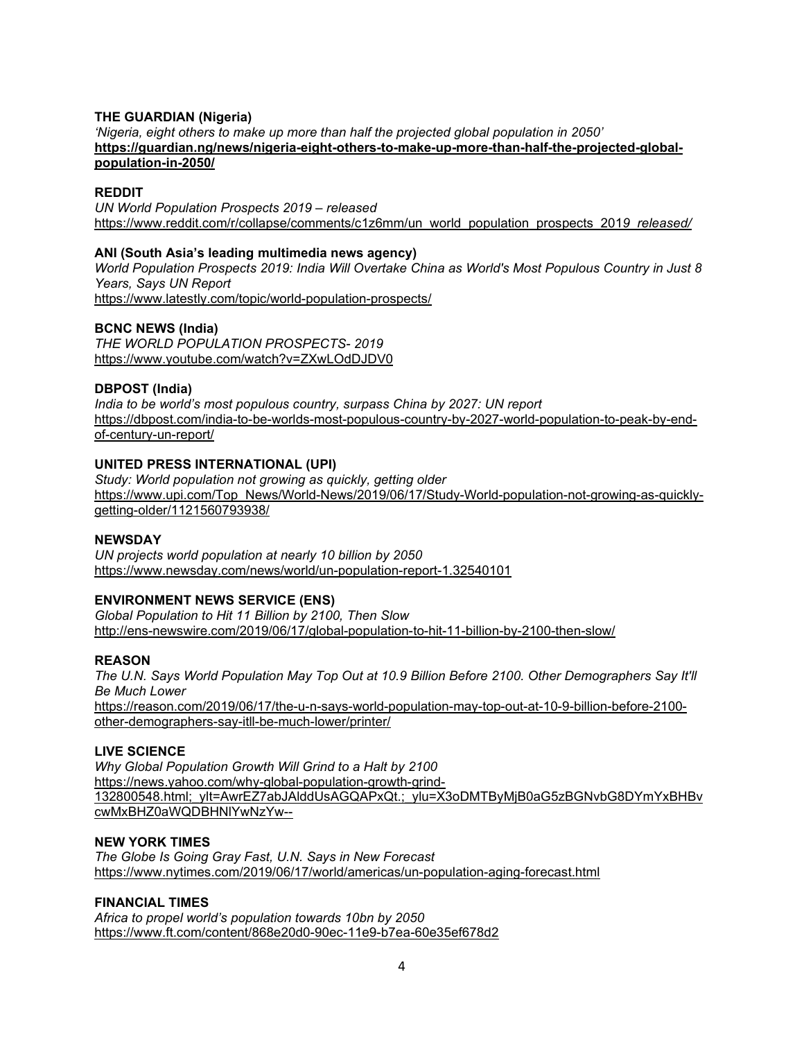### **THE GUARDIAN (Nigeria)**

*'Nigeria, eight others to make up more than half the projected global population in 2050'* **[https://guardian.ng/news/nigeria-eight-others-to-make-up-more-than-half-the-projected-global](https://guardian.ng/news/nigeria-eight-others-to-make-up-more-than-half-the-projected-global-population-in-2050/)[population-in-2050/](https://guardian.ng/news/nigeria-eight-others-to-make-up-more-than-half-the-projected-global-population-in-2050/)**

### **REDDIT**

*UN World Population Prospects 2019 – released* [https://www.reddit.com/r/collapse/comments/c1z6mm/un\\_world\\_population\\_prospects\\_201](https://www.reddit.com/r/collapse/comments/c1z6mm/un_world_population_prospects_2019_released/)*9\_released/*

### **ANI (South Asia's leading multimedia news agency)**

*World Population Prospects 2019: India Will Overtake China as World's Most Populous Country in Just 8 Years, Says UN Report* <https://www.latestly.com/topic/world-population-prospects/>

## **BCNC NEWS (India)**

*THE WORLD POPULATION PROSPECTS- 2019* <https://www.youtube.com/watch?v=ZXwLOdDJDV0>

## **DBPOST (India)**

*India to be world's most populous country, surpass China by 2027: UN report* [https://dbpost.com/india-to-be-worlds-most-populous-country-by-2027-world-population-to-peak-by-end](https://dbpost.com/india-to-be-worlds-most-populous-country-by-2027-world-population-to-peak-by-end-of-century-un-report/)[of-century-un-report/](https://dbpost.com/india-to-be-worlds-most-populous-country-by-2027-world-population-to-peak-by-end-of-century-un-report/)

## **UNITED PRESS INTERNATIONAL (UPI)**

*Study: World population not growing as quickly, getting older* [https://www.upi.com/Top\\_News/World-News/2019/06/17/Study-World-population-not-growing-as-quickly](https://www.upi.com/Top_News/World-News/2019/06/17/Study-World-population-not-growing-as-quickly-getting-older/1121560793938/)[getting-older/1121560793938/](https://www.upi.com/Top_News/World-News/2019/06/17/Study-World-population-not-growing-as-quickly-getting-older/1121560793938/)

### **NEWSDAY**

*UN projects world population at nearly 10 billion by 2050* <https://www.newsday.com/news/world/un-population-report-1.32540101>

# **ENVIRONMENT NEWS SERVICE (ENS)**

*Global Population to Hit 11 Billion by 2100, Then Slow* <http://ens-newswire.com/2019/06/17/global-population-to-hit-11-billion-by-2100-then-slow/>

### **REASON**

*The U.N. Says World Population May Top Out at 10.9 Billion Before 2100. Other Demographers Say It'll Be Much Lower* [https://reason.com/2019/06/17/the-u-n-says-world-population-may-top-out-at-10-9-billion-before-2100-](https://reason.com/2019/06/17/the-u-n-says-world-population-may-top-out-at-10-9-billion-before-2100-other-demographers-say-itll-be-much-lower/printer/)

# [other-demographers-say-itll-be-much-lower/printer/](https://reason.com/2019/06/17/the-u-n-says-world-population-may-top-out-at-10-9-billion-before-2100-other-demographers-say-itll-be-much-lower/printer/)

# **LIVE SCIENCE**

*Why Global Population Growth Will Grind to a Halt by 2100* [https://news.yahoo.com/why-global-population-growth-grind-](https://news.yahoo.com/why-global-population-growth-grind-132800548.html;_ylt=AwrEZ7abJAlddUsAGQAPxQt.;_ylu=X3oDMTByMjB0aG5zBGNvbG8DYmYxBHBvcwMxBHZ0aWQDBHNlYwNzYw--)[132800548.html;\\_ylt=AwrEZ7abJAlddUsAGQAPxQt.;\\_ylu=X3oDMTByMjB0aG5zBGNvbG8DYmYxBHBv](https://news.yahoo.com/why-global-population-growth-grind-132800548.html;_ylt=AwrEZ7abJAlddUsAGQAPxQt.;_ylu=X3oDMTByMjB0aG5zBGNvbG8DYmYxBHBvcwMxBHZ0aWQDBHNlYwNzYw--) [cwMxBHZ0aWQDBHNlYwNzYw--](https://news.yahoo.com/why-global-population-growth-grind-132800548.html;_ylt=AwrEZ7abJAlddUsAGQAPxQt.;_ylu=X3oDMTByMjB0aG5zBGNvbG8DYmYxBHBvcwMxBHZ0aWQDBHNlYwNzYw--)

### **NEW YORK TIMES**

*The Globe Is Going Gray Fast, U.N. Says in New Forecast* <https://www.nytimes.com/2019/06/17/world/americas/un-population-aging-forecast.html>

# **FINANCIAL TIMES**

*Africa to propel world's population towards 10bn by 2050* <https://www.ft.com/content/868e20d0-90ec-11e9-b7ea-60e35ef678d2>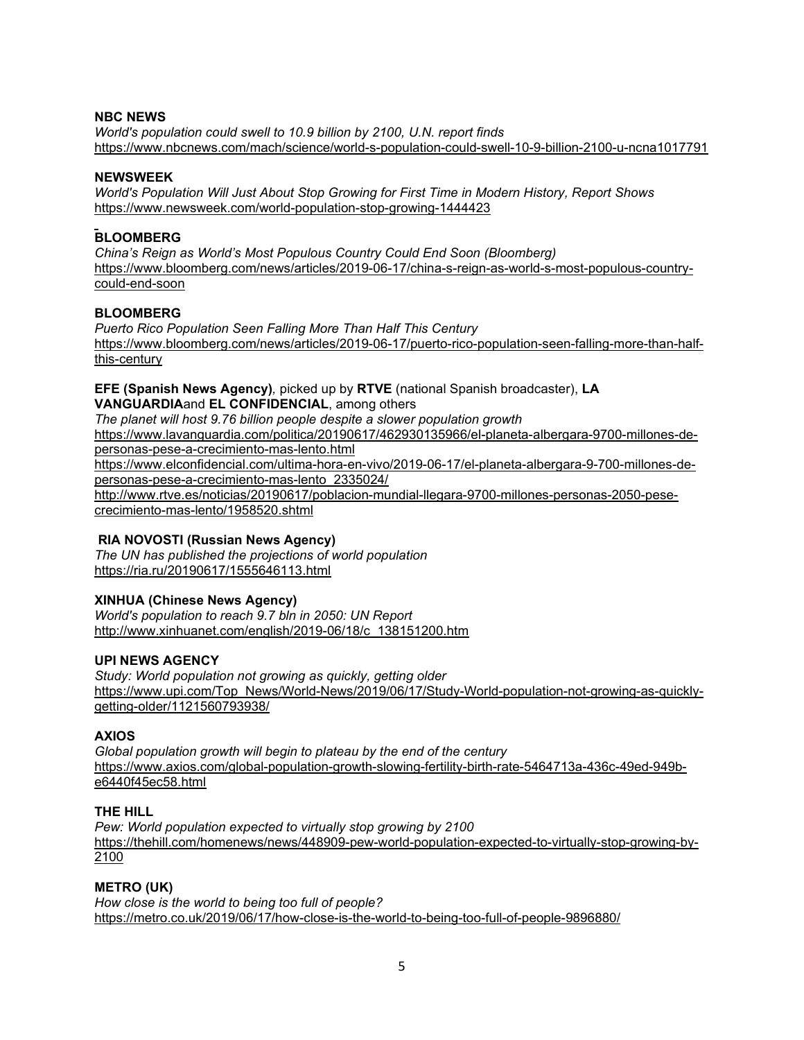## **NBC NEWS**

*World's population could swell to 10.9 billion by 2100, U.N. report finds* <https://www.nbcnews.com/mach/science/world-s-population-could-swell-10-9-billion-2100-u-ncna1017791>

### **NEWSWEEK**

*World's Population Will Just About Stop Growing for First Time in Modern History, Report Shows* <https://www.newsweek.com/world-population-stop-growing-1444423>

## **BLOOMBERG**

*China's Reign as World's Most Populous Country Could End Soon (Bloomberg)* [https://www.bloomberg.com/news/articles/2019-06-17/china-s-reign-as-world-s-most-populous-country](https://www.bloomberg.com/news/articles/2019-06-17/china-s-reign-as-world-s-most-populous-country-could-end-soon)[could-end-soon](https://www.bloomberg.com/news/articles/2019-06-17/china-s-reign-as-world-s-most-populous-country-could-end-soon)

# **BLOOMBERG**

*Puerto Rico Population Seen Falling More Than Half This Century* [https://www.bloomberg.com/news/articles/2019-06-17/puerto-rico-population-seen-falling-more-than-half](https://www.bloomberg.com/news/articles/2019-06-17/puerto-rico-population-seen-falling-more-than-half-this-century)[this-century](https://www.bloomberg.com/news/articles/2019-06-17/puerto-rico-population-seen-falling-more-than-half-this-century)

# **EFE (Spanish News Agency)***,* picked up by **RTVE** (national Spanish broadcaster), **LA VANGUARDIA**and **EL CONFIDENCIAL**, among others

*The planet will host 9.76 billion people despite a slower population growth* [https://www.lavanguardia.com/politica/20190617/462930135966/el-planeta-albergara-9700-millones-de](https://www.lavanguardia.com/politica/20190617/462930135966/el-planeta-albergara-9700-millones-de-personas-pese-a-crecimiento-mas-lento.html)[personas-pese-a-crecimiento-mas-lento.html](https://www.lavanguardia.com/politica/20190617/462930135966/el-planeta-albergara-9700-millones-de-personas-pese-a-crecimiento-mas-lento.html) [https://www.elconfidencial.com/ultima-hora-en-vivo/2019-06-17/el-planeta-albergara-9-700-millones-de](https://www.elconfidencial.com/ultima-hora-en-vivo/2019-06-17/el-planeta-albergara-9-700-millones-de-personas-pese-a-crecimiento-mas-lento_2335024/)[personas-pese-a-crecimiento-mas-lento\\_2335024/](https://www.elconfidencial.com/ultima-hora-en-vivo/2019-06-17/el-planeta-albergara-9-700-millones-de-personas-pese-a-crecimiento-mas-lento_2335024/)

[http://www.rtve.es/noticias/20190617/poblacion-mundial-llegara-9700-millones-personas-2050-pese](http://www.rtve.es/noticias/20190617/poblacion-mundial-llegara-9700-millones-personas-2050-pese-crecimiento-mas-lento/1958520.shtml)[crecimiento-mas-lento/1958520.shtml](http://www.rtve.es/noticias/20190617/poblacion-mundial-llegara-9700-millones-personas-2050-pese-crecimiento-mas-lento/1958520.shtml)

# **RIA NOVOSTI (Russian News Agency)**

*The UN has published the projections of world population* <https://ria.ru/20190617/1555646113.html>

# **XINHUA (Chinese News Agency)**

*World's population to reach 9.7 bln in 2050: UN Report* [http://www.xinhuanet.com/english/2019-06/18/c\\_138151200.htm](http://www.xinhuanet.com/english/2019-06/18/c_138151200.htm)

# **UPI NEWS AGENCY**

*Study: World population not growing as quickly, getting older* [https://www.upi.com/Top\\_News/World-News/2019/06/17/Study-World-population-not-growing-as-quickly](https://www.upi.com/Top_News/World-News/2019/06/17/Study-World-population-not-growing-as-quickly-getting-older/1121560793938/)[getting-older/1121560793938/](https://www.upi.com/Top_News/World-News/2019/06/17/Study-World-population-not-growing-as-quickly-getting-older/1121560793938/)

# **AXIOS**

*Global population growth will begin to plateau by the end of the century* [https://www.axios.com/global-population-growth-slowing-fertility-birth-rate-5464713a-436c-49ed-949b](https://www.axios.com/global-population-growth-slowing-fertility-birth-rate-5464713a-436c-49ed-949b-e6440f45ec58.html)[e6440f45ec58.html](https://www.axios.com/global-population-growth-slowing-fertility-birth-rate-5464713a-436c-49ed-949b-e6440f45ec58.html)

### **THE HILL**

*Pew: World population expected to virtually stop growing by 2100* [https://thehill.com/homenews/news/448909-pew-world-population-expected-to-virtually-stop-growing-by-](https://thehill.com/homenews/news/448909-pew-world-population-expected-to-virtually-stop-growing-by-2100)[2100](https://thehill.com/homenews/news/448909-pew-world-population-expected-to-virtually-stop-growing-by-2100)

# **METRO (UK)**

*How close is the world to being too full of people?* <https://metro.co.uk/2019/06/17/how-close-is-the-world-to-being-too-full-of-people-9896880/>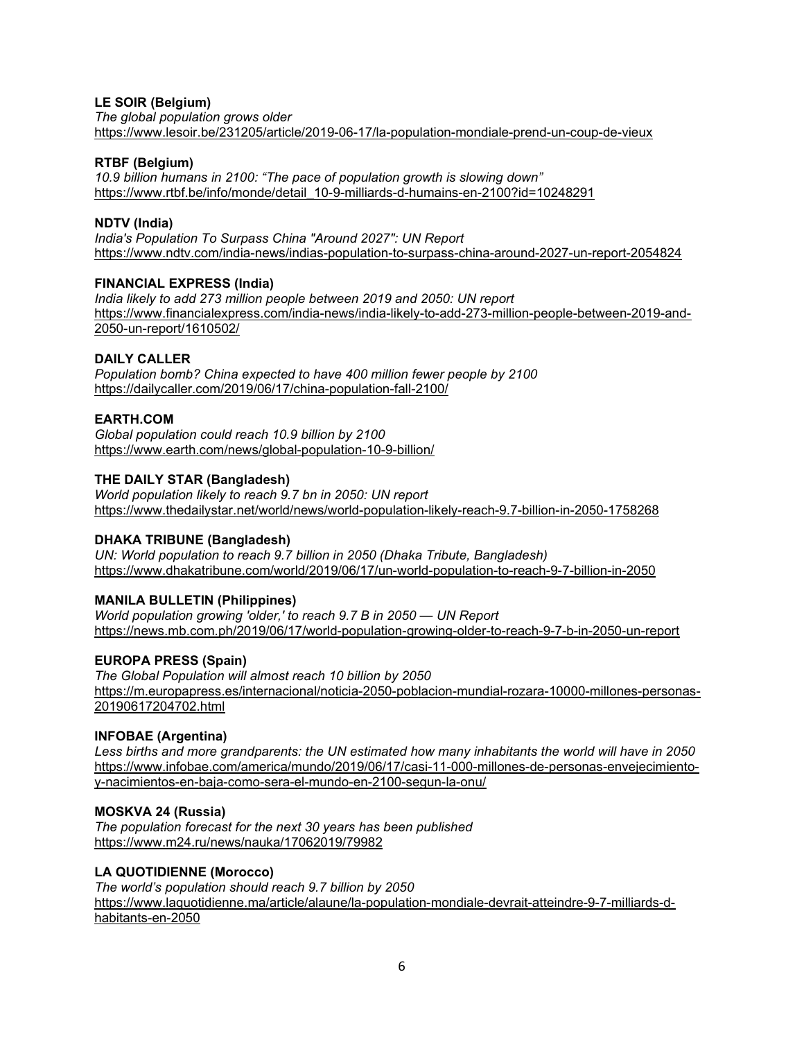# **LE SOIR (Belgium)**

*The global population grows older* <https://www.lesoir.be/231205/article/2019-06-17/la-population-mondiale-prend-un-coup-de-vieux>

## **RTBF (Belgium)**

*10.9 billion humans in 2100: "The pace of population growth is slowing down"* [https://www.rtbf.be/info/monde/detail\\_10-9-milliards-d-humains-en-2100?id=10248291](https://www.rtbf.be/info/monde/detail_10-9-milliards-d-humains-en-2100?id=10248291)

## **NDTV (India)**

*India's Population To Surpass China "Around 2027": UN Report* <https://www.ndtv.com/india-news/indias-population-to-surpass-china-around-2027-un-report-2054824>

## **FINANCIAL EXPRESS (India)**

*India likely to add 273 million people between 2019 and 2050: UN report* [https://www.financialexpress.com/india-news/india-likely-to-add-273-million-people-between-2019-and-](https://www.financialexpress.com/india-news/india-likely-to-add-273-million-people-between-2019-and-2050-un-report/1610502/)[2050-un-report/1610502/](https://www.financialexpress.com/india-news/india-likely-to-add-273-million-people-between-2019-and-2050-un-report/1610502/)

## **DAILY CALLER**

*Population bomb? China expected to have 400 million fewer people by 2100* <https://dailycaller.com/2019/06/17/china-population-fall-2100/>

# **EARTH.COM**

*Global population could reach 10.9 billion by 2100* <https://www.earth.com/news/global-population-10-9-billion/>

## **THE DAILY STAR (Bangladesh)**

*World population likely to reach 9.7 bn in 2050: UN report* <https://www.thedailystar.net/world/news/world-population-likely-reach-9.7-billion-in-2050-1758268>

### **DHAKA TRIBUNE (Bangladesh)**

*UN: World population to reach 9.7 billion in 2050 (Dhaka Tribute, Bangladesh)* <https://www.dhakatribune.com/world/2019/06/17/un-world-population-to-reach-9-7-billion-in-2050>

# **MANILA BULLETIN (Philippines)**

*World population growing 'older,' to reach 9.7 B in 2050 — UN Report* <https://news.mb.com.ph/2019/06/17/world-population-growing-older-to-reach-9-7-b-in-2050-un-report>

# **EUROPA PRESS (Spain)**

*The Global Population will almost reach 10 billion by 2050* [https://m.europapress.es/internacional/noticia-2050-poblacion-mundial-rozara-10000-millones-personas-](https://m.europapress.es/internacional/noticia-2050-poblacion-mundial-rozara-10000-millones-personas-20190617204702.html)[20190617204702.html](https://m.europapress.es/internacional/noticia-2050-poblacion-mundial-rozara-10000-millones-personas-20190617204702.html)

### **INFOBAE (Argentina)**

*Less births and more grandparents: the UN estimated how many inhabitants the world will have in 2050* [https://www.infobae.com/america/mundo/2019/06/17/casi-11-000-millones-de-personas-envejecimiento](https://www.infobae.com/america/mundo/2019/06/17/casi-11-000-millones-de-personas-envejecimiento-y-nacimientos-en-baja-como-sera-el-mundo-en-2100-segun-la-onu/)[y-nacimientos-en-baja-como-sera-el-mundo-en-2100-segun-la-onu/](https://www.infobae.com/america/mundo/2019/06/17/casi-11-000-millones-de-personas-envejecimiento-y-nacimientos-en-baja-como-sera-el-mundo-en-2100-segun-la-onu/)

### **MOSKVA 24 (Russia)**

*The population forecast for the next 30 years has been published* <https://www.m24.ru/news/nauka/17062019/79982>

# **LA QUOTIDIENNE (Morocco)**

*The world's population should reach 9.7 billion by 2050* [https://www.laquotidienne.ma/article/alaune/la-population-mondiale-devrait-atteindre-9-7-milliards-d](https://www.laquotidienne.ma/article/alaune/la-population-mondiale-devrait-atteindre-9-7-milliards-d-habitants-en-2050)[habitants-en-2050](https://www.laquotidienne.ma/article/alaune/la-population-mondiale-devrait-atteindre-9-7-milliards-d-habitants-en-2050)